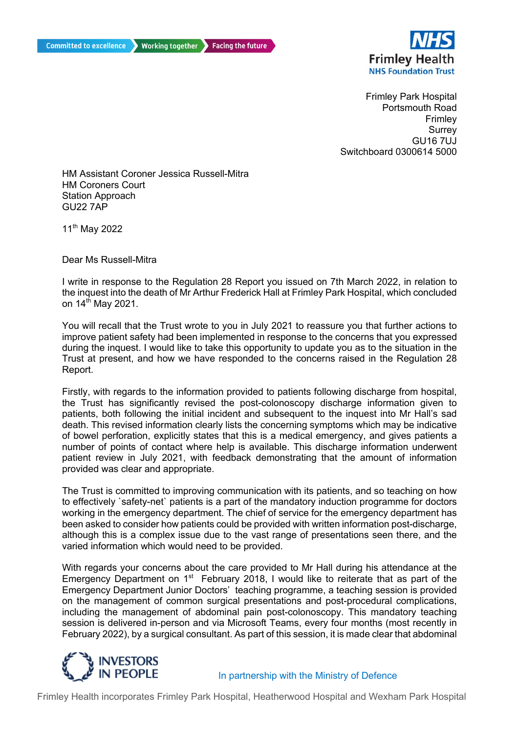

 Frimley Park Hospital Switchboard 0300614 5000 Portsmouth Road Frimley **Surrey** GU16 7UJ

 HM Assistant Coroner Jessica Russell-Mitra HM Coroners Court Station Approach GU22 7AP

11th May 2022

Dear Ms Russell-Mitra

 I write in response to the Regulation 28 Report you issued on 7th March 2022, in relation to the inquest into the death of Mr Arthur Frederick Hall at Frimley Park Hospital, which concluded on 14<sup>th</sup> May 2021.

 You will recall that the Trust wrote to you in July 2021 to reassure you that further actions to improve patient safety had been implemented in response to the concerns that you expressed during the inquest. I would like to take this opportunity to update you as to the situation in the Trust at present, and how we have responded to the concerns raised in the Regulation 28 Report.

 Firstly, with regards to the information provided to patients following discharge from hospital, the Trust has significantly revised the post-colonoscopy discharge information given to patients, both following the initial incident and subsequent to the inquest into Mr Hall's sad of bowel perforation, explicitly states that this is a medical emergency, and gives patients a number of points of contact where help is available. This discharge information underwent patient review in July 2021, with feedback demonstrating that the amount of information death. This revised information clearly lists the concerning symptoms which may be indicative provided was clear and appropriate.

 The Trust is committed to improving communication with its patients, and so teaching on how to effectively `safety-net` patients is a part of the mandatory induction programme for doctors working in the emergency department. The chief of service for the emergency department has been asked to consider how patients could be provided with written information post-discharge, although this is a complex issue due to the vast range of presentations seen there, and the varied information which would need to be provided.

varied information which would need to be provided.<br>With regards your concerns about the care provided to Mr Hall during his attendance at the Emergency Department on 1<sup>st</sup> February 2018, I would like to reiterate that as part of the Emergency Department Junior Doctors' teaching programme, a teaching session is provided on the management of common surgical presentations and post-procedural complications, including the management of abdominal pain post-colonoscopy. This mandatory teaching session is delivered in-person and via Microsoft Teams, every four months (most recently in February 2022), by a surgical consultant. As part of this session, it is made clear that abdominal



In partnership with the Ministry of Defence

Frimley Health incorporates Frimley Park Hospital, Heatherwood Hospital and Wexham Park Hospital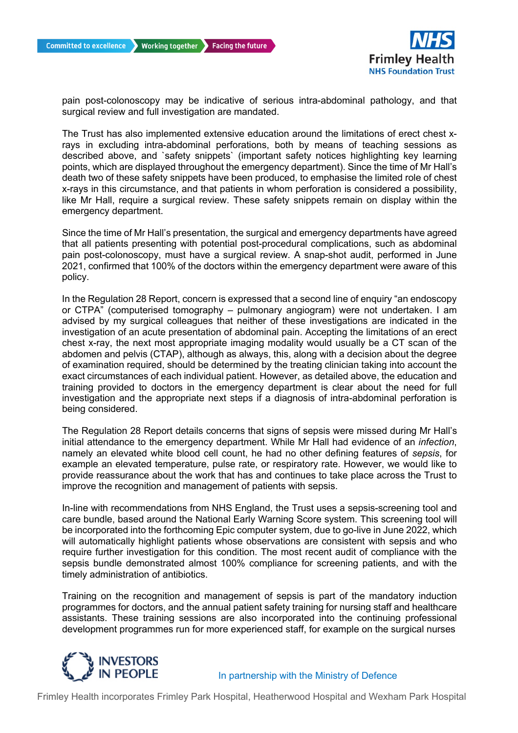

 pain post-colonoscopy may be indicative of serious intra-abdominal pathology, and that surgical review and full investigation are mandated.

 The Trust has also implemented extensive education around the limitations of erect chest x- rays in excluding intra-abdominal perforations, both by means of teaching sessions as described above, and `safety snippets` (important safety notices highlighting key learning points, which are displayed throughout the emergency department). Since the time of Mr Hall's death two of these safety snippets have been produced, to emphasise the limited role of chest x-rays in this circumstance, and that patients in whom perforation is considered a possibility, like Mr Hall, require a surgical review. These safety snippets remain on display within the emergency department.

 Since the time of Mr Hall's presentation, the surgical and emergency departments have agreed that all patients presenting with potential post-procedural complications, such as abdominal pain post-colonoscopy, must have a surgical review. A snap-shot audit, performed in June 2021, confirmed that 100% of the doctors within the emergency department were aware of this policy.

 In the Regulation 28 Report, concern is expressed that a second line of enquiry "an endoscopy or CTPA" (computerised tomography – pulmonary angiogram) were not undertaken. I am investigation of an acute presentation of abdominal pain. Accepting the limitations of an erect chest x-ray, the next most appropriate imaging modality would usually be a CT scan of the abdomen and pelvis (CTAP), although as always, this, along with a decision about the degree exact circumstances of each individual patient. However, as detailed above, the education and training provided to doctors in the emergency department is clear about the need for full investigation and the appropriate next steps if a diagnosis of intra-abdominal perforation is advised by my surgical colleagues that neither of these investigations are indicated in the of examination required, should be determined by the treating clinician taking into account the being considered.

 The Regulation 28 Report details concerns that signs of sepsis were missed during Mr Hall's initial attendance to the emergency department. While Mr Hall had evidence of an *infection*, namely an elevated white blood cell count, he had no other defining features of *sepsis*, for example an elevated temperature, pulse rate, or respiratory rate. However, we would like to improve the recognition and management of patients with sepsis. provide reassurance about the work that has and continues to take place across the Trust to

 In-line with recommendations from NHS England, the Trust uses a sepsis-screening tool and care bundle, based around the National Early Warning Score system. This screening tool will be incorporated into the forthcoming Epic computer system, due to go-live in June 2022, which will automatically highlight patients whose observations are consistent with sepsis and who require further investigation for this condition. The most recent audit of compliance with the sepsis bundle demonstrated almost 100% compliance for screening patients, and with the timely administration of antibiotics.

 Training on the recognition and management of sepsis is part of the mandatory induction programmes for doctors, and the annual patient safety training for nursing staff and healthcare development programmes run for more experienced staff, for example on the surgical nurses assistants. These training sessions are also incorporated into the continuing professional



In partnership with the Ministry of Defence